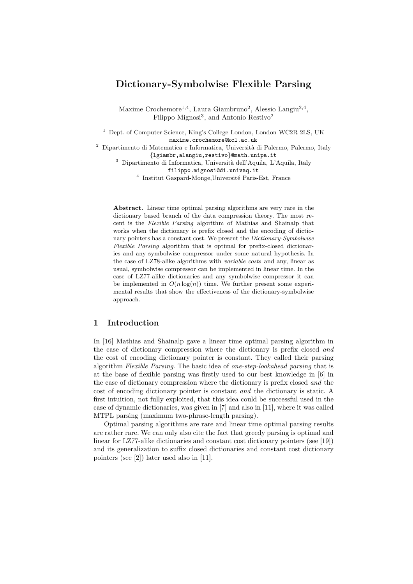# Dictionary-Symbolwise Flexible Parsing

Maxime Crochemore<sup>1,4</sup>, Laura Giambruno<sup>2</sup>, Alessio Langiu<sup>2,4</sup>, Filippo Mignosi<sup>3</sup>, and Antonio Restivo<sup>2</sup>

<sup>1</sup> Dept. of Computer Science, King's College London, London WC2R 2LS, UK maxime.crochemore@kcl.ac.uk

 $^{\rm 2}$  Dipartimento di Matematica e Informatica, Università di Palermo, Palermo, Italy {lgiambr,alangiu,restivo}@math.unipa.it

 $^3$  Dipartimento di Informatica, Università dell'Aquila, L'Aquila, Italy filippo.mignosi@di.univaq.it

<sup>4</sup> Institut Gaspard-Monge, Université Paris-Est, France

Abstract. Linear time optimal parsing algorithms are very rare in the dictionary based branch of the data compression theory. The most recent is the *Flexible Parsing* algorithm of Mathias and Shainalp that works when the dictionary is prefix closed and the encoding of dictionary pointers has a constant cost. We present the *Dictionary-Symbolwise Flexible Parsing* algorithm that is optimal for prefix-closed dictionaries and any symbolwise compressor under some natural hypothesis. In the case of LZ78-alike algorithms with *variable costs* and any, linear as usual, symbolwise compressor can be implemented in linear time. In the case of LZ77-alike dictionaries and any symbolwise compressor it can be implemented in  $O(n \log(n))$  time. We further present some experimental results that show the effectiveness of the dictionary-symbolwise approach.

#### 1 Introduction

In [16] Mathias and Shainalp gave a linear time optimal parsing algorithm in the case of dictionary compression where the dictionary is prefix closed and the cost of encoding dictionary pointer is constant. They called their parsing algorithm Flexible Parsing. The basic idea of one-step-lookahead parsing that is at the base of flexible parsing was firstly used to our best knowledge in [6] in the case of dictionary compression where the dictionary is prefix closed and the cost of encoding dictionary pointer is constant and the dictionary is static. A first intuition, not fully exploited, that this idea could be successful used in the case of dynamic dictionaries, was given in [7] and also in [11], where it was called MTPL parsing (maximum two-phrase-length parsing).

Optimal parsing algorithms are rare and linear time optimal parsing results are rather rare. We can only also cite the fact that greedy parsing is optimal and linear for LZ77-alike dictionaries and constant cost dictionary pointers (see [19]) and its generalization to suffix closed dictionaries and constant cost dictionary pointers (see [2]) later used also in [11].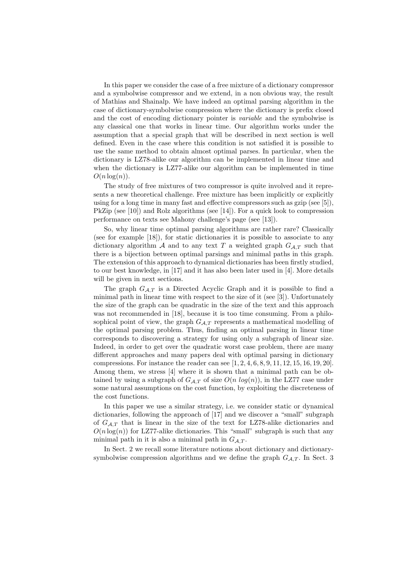In this paper we consider the case of a free mixture of a dictionary compressor and a symbolwise compressor and we extend, in a non obvious way, the result of Mathias and Shainalp. We have indeed an optimal parsing algorithm in the case of dictionary-symbolwise compression where the dictionary is prefix closed and the cost of encoding dictionary pointer is variable and the symbolwise is any classical one that works in linear time. Our algorithm works under the assumption that a special graph that will be described in next section is well defined. Even in the case where this condition is not satisfied it is possible to use the same method to obtain almost optimal parses. In particular, when the dictionary is LZ78-alike our algorithm can be implemented in linear time and when the dictionary is LZ77-alike our algorithm can be implemented in time  $O(n \log(n)).$ 

The study of free mixtures of two compressor is quite involved and it represents a new theoretical challenge. Free mixture has been implicitly or explicitly using for a long time in many fast and effective compressors such as gzip (see [5]), PkZip (see [10]) and Rolz algorithms (see [14]). For a quick look to compression performance on texts see Mahony challenge's page (see [13]).

So, why linear time optimal parsing algorithms are rather rare? Classically (see for example [18]), for static dictionaries it is possible to associate to any dictionary algorithm  $A$  and to any text  $T$  a weighted graph  $G_{A,T}$  such that there is a bijection between optimal parsings and minimal paths in this graph. The extension of this approach to dynamical dictionaries has been firstly studied, to our best knowledge, in [17] and it has also been later used in [4]. More details will be given in next sections.

The graph  $G_{\mathcal{A},T}$  is a Directed Acyclic Graph and it is possible to find a minimal path in linear time with respect to the size of it (see [3]). Unfortunately the size of the graph can be quadratic in the size of the text and this approach was not recommended in [18], because it is too time consuming. From a philosophical point of view, the graph  $G_{\mathcal{A},T}$  represents a mathematical modelling of the optimal parsing problem. Thus, finding an optimal parsing in linear time corresponds to discovering a strategy for using only a subgraph of linear size. Indeed, in order to get over the quadratic worst case problem, there are many different approaches and many papers deal with optimal parsing in dictionary compressions. For instance the reader can see  $[1, 2, 4, 6, 8, 9, 11, 12, 15, 16, 19, 20]$ . Among them, we stress [4] where it is shown that a minimal path can be obtained by using a subgraph of  $G_{\mathcal{A},T}$  of size  $O(n \log(n))$ , in the LZ77 case under some natural assumptions on the cost function, by exploiting the discreteness of the cost functions.

In this paper we use a similar strategy, i.e. we consider static or dynamical dictionaries, following the approach of [17] and we discover a "small" subgraph of  $G_{\mathcal{A},T}$  that is linear in the size of the text for LZ78-alike dictionaries and  $O(n \log(n))$  for LZ77-alike dictionaries. This "small" subgraph is such that any minimal path in it is also a minimal path in  $G_{\mathcal{A},T}$ .

In Sect. 2 we recall some literature notions about dictionary and dictionarysymbolwise compression algorithms and we define the graph  $G_{\mathcal{A},T}$ . In Sect. 3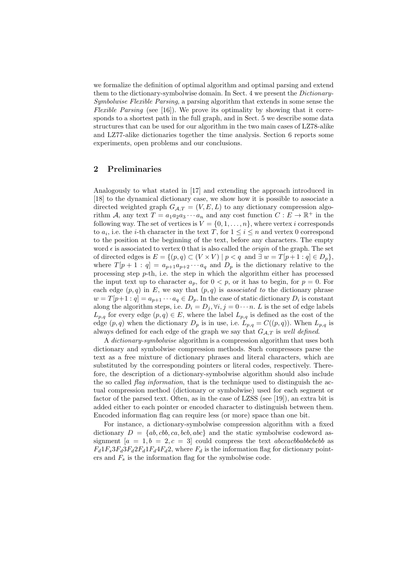we formalize the definition of optimal algorithm and optimal parsing and extend them to the dictionary-symbolwise domain. In Sect. 4 we present the Dictionary-Symbolwise Flexible Parsing, a parsing algorithm that extends in some sense the Flexible Parsing (see [16]). We prove its optimality by showing that it corresponds to a shortest path in the full graph, and in Sect. 5 we describe some data structures that can be used for our algorithm in the two main cases of LZ78-alike and LZ77-alike dictionaries together the time analysis. Section 6 reports some experiments, open problems and our conclusions.

## 2 Preliminaries

Analogously to what stated in [17] and extending the approach introduced in [18] to the dynamical dictionary case, we show how it is possible to associate a directed weighted graph  $G_{\mathcal{A},T} = (V, E, L)$  to any dictionary compression algorithm A, any text  $T = a_1 a_2 a_3 \cdots a_n$  and any cost function  $C : E \to \mathbb{R}^+$  in the following way. The set of vertices is  $V = \{0, 1, \ldots, n\}$ , where vertex i corresponds to  $a_i$ , i.e. the *i*-th character in the text T, for  $1 \leq i \leq n$  and vertex 0 correspond to the position at the beginning of the text, before any characters. The empty word  $\epsilon$  is associated to vertex 0 that is also called the *origin* of the graph. The set of directed edges is  $E = \{(p, q) \subset (V \times V) \mid p < q \text{ and } \exists w = T[p+1 : q] \in D_p\},\$ where  $T[p+1: q] = a_{p+1}a_{p+2}\cdots a_q$  and  $D_p$  is the dictionary relative to the processing step p-th, i.e. the step in which the algorithm either has processed the input text up to character  $a_p$ , for  $0 < p$ , or it has to begin, for  $p = 0$ . For each edge  $(p, q)$  in E, we say that  $(p, q)$  is associated to the dictionary phrase  $w = T[p+1:q] = a_{p+1} \cdots a_q \in D_p$ . In the case of static dictionary  $D_i$  is constant along the algorithm steps, i.e.  $D_i = D_j, \forall i, j = 0 \cdots n$ . L is the set of edge labels  $L_{p,q}$  for every edge  $(p,q) \in E$ , where the label  $L_{p,q}$  is defined as the cost of the edge  $(p, q)$  when the dictionary  $D_p$  is in use, i.e.  $L_{p,q} = C((p,q))$ . When  $L_{p,q}$  is always defined for each edge of the graph we say that  $G_{\mathcal{A},T}$  is well defined.

A dictionary-symbolwise algorithm is a compression algorithm that uses both dictionary and symbolwise compression methods. Such compressors parse the text as a free mixture of dictionary phrases and literal characters, which are substituted by the corresponding pointers or literal codes, respectively. Therefore, the description of a dictionary-symbolwise algorithm should also include the so called *flag information*, that is the technique used to distinguish the actual compression method (dictionary or symbolwise) used for each segment or factor of the parsed text. Often, as in the case of LZSS (see [19]), an extra bit is added either to each pointer or encoded character to distinguish between them. Encoded information flag can require less (or more) space than one bit.

For instance, a dictionary-symbolwise compression algorithm with a fixed dictionary  $D = \{ab, cbb, ca, bcb, abc\}$  and the static symbolwise codeword assignment  $[a = 1, b = 2, c = 3]$  could compress the text *abccacbbabbcbcbb* as  $F_d 1F_s 3F_d 3F_d 2F_d 1F_d 4F_d 2$ , where  $F_d$  is the information flag for dictionary pointers and  $F_s$  is the information flag for the symbolwise code.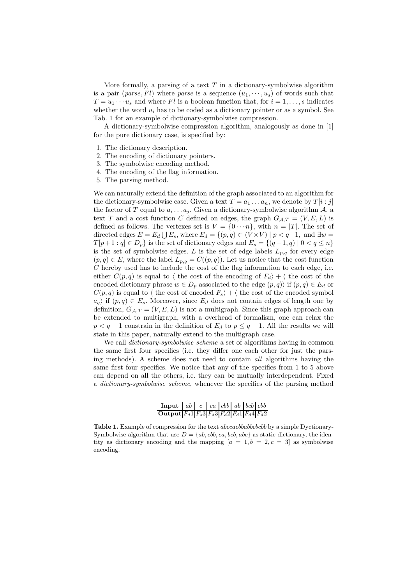More formally, a parsing of a text  $T$  in a dictionary-symbolwise algorithm is a pair (*parse, Fl*) where *parse* is a sequence  $(u_1, \dots, u_s)$  of words such that  $T = u_1 \cdots u_s$  and where Fl is a boolean function that, for  $i = 1, \ldots, s$  indicates whether the word  $u_i$  has to be coded as a dictionary pointer or as a symbol. See Tab. 1 for an example of dictionary-symbolwise compression.

A dictionary-symbolwise compression algorithm, analogously as done in [1] for the pure dictionary case, is specified by:

- 1. The dictionary description.
- 2. The encoding of dictionary pointers.
- 3. The symbolwise encoding method.
- 4. The encoding of the flag information.
- 5. The parsing method.

We can naturally extend the definition of the graph associated to an algorithm for the dictionary-symbolwise case. Given a text  $T = a_1 \dots a_n$ , we denote by  $T[i : j]$ the factor of T equal to  $a_i \dots a_j$ . Given a dictionary-symbolwise algorithm A, a text T and a cost function C defined on edges, the graph  $G_{\mathcal{A},T} = (V, E, L)$  is defined as follows. The vertexes set is  $V = \{0 \cdots n\}$ , with  $n = |T|$ . The set of directed edges  $E = E_d \bigcup E_s$ , where  $E_d = \{(p, q) \subset (V \times V) \mid p < q-1$ , and  $\exists w =$  $T[p+1:q] \in D_p$  is the set of dictionary edges and  $E_s = \{(q-1,q) | 0 < q \le n\}$ is the set of symbolwise edges. L is the set of edge labels  $L_{p,q}$  for every edge  $(p, q) \in E$ , where the label  $L_{p,q} = C((p, q))$ . Let us notice that the cost function  $C$  hereby used has to include the cost of the flag information to each edge, i.e. either  $C(p,q)$  is equal to  $\langle$  the cost of the encoding of  $F_d$  +  $\langle$  the cost of the encoded dictionary phrase  $w \in D_p$  associated to the edge  $(p, q)$  if  $(p, q) \in E_d$  or  $C(p, q)$  is equal to  $\langle$  the cost of encoded  $F_s$  +  $\langle$  the cost of the encoded symbol  $a_{\alpha}$  if  $(p, q) \in E_s$ . Moreover, since  $E_d$  does not contain edges of length one by definition,  $G_{\mathcal{A},T} = (V, E, L)$  is not a multigraph. Since this graph approach can be extended to multigraph, with a overhead of formalism, one can relax the  $p < q-1$  constrain in the definition of  $E_d$  to  $p \leq q-1$ . All the results we will state in this paper, naturally extend to the multigraph case.

We call *dictionary-symbolwise scheme* a set of algorithms having in common the same first four specifics (i.e. they differ one each other for just the parsing methods). A scheme does not need to contain all algorithms having the same first four specifics. We notice that any of the specifics from 1 to 5 above can depend on all the others, i.e. they can be mutually interdependent. Fixed a dictionary-symbolwise scheme, whenever the specifics of the parsing method

| <b>Input</b> $ ab  c  ca  cbb   ab   bcb   cbb  $ |  |  |  |  |
|---------------------------------------------------|--|--|--|--|
| Output $ F_d1 F_s3 F_d3 F_d2 F_d1 F_d4 F_d2$      |  |  |  |  |

Table 1. Example of compression for the text *abccacbbabbcbcbb* by a simple Dyctionary-Symbolwise algorithm that use  $D = \{ab, cbb, ca, bcb, abc\}$  as static dictionary, the identity as dictionary encoding and the mapping  $[a = 1, b = 2, c = 3]$  as symbolwise encoding.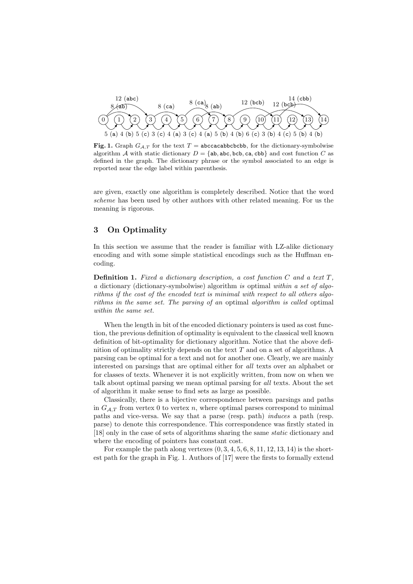

Fig. 1. Graph  $G_{A,T}$  for the text  $T =$  abccacabbcbcbb, for the dictionary-symbolwise algorithm A with static dictionary  $D = {\mathsf{ab}$ , abc, bcb, ca, cbb} and cost function C as defined in the graph. The dictionary phrase or the symbol associated to an edge is reported near the edge label within parenthesis.

are given, exactly one algorithm is completely described. Notice that the word scheme has been used by other authors with other related meaning. For us the meaning is rigorous.

# 3 On Optimality

In this section we assume that the reader is familiar with LZ-alike dictionary encoding and with some simple statistical encodings such as the Huffman encoding.

**Definition 1.** Fixed a dictionary description, a cost function  $C$  and a text  $T$ . a dictionary (dictionary-symbolwise) algorithm is optimal within a set of algorithms if the cost of the encoded text is minimal with respect to all others algorithms in the same set. The parsing of an optimal algorithm is called optimal within the same set.

When the length in bit of the encoded dictionary pointers is used as cost function, the previous definition of optimality is equivalent to the classical well known definition of bit-optimality for dictionary algorithm. Notice that the above definition of optimality strictly depends on the text  $T$  and on a set of algorithms. A parsing can be optimal for a text and not for another one. Clearly, we are mainly interested on parsings that are optimal either for all texts over an alphabet or for classes of texts. Whenever it is not explicitly written, from now on when we talk about optimal parsing we mean optimal parsing for all texts. About the set of algorithm it make sense to find sets as large as possible.

Classically, there is a bijective correspondence between parsings and paths in  $G_{A,T}$  from vertex 0 to vertex n, where optimal parses correspond to minimal paths and vice-versa. We say that a parse (resp. path) induces a path (resp. parse) to denote this correspondence. This correspondence was firstly stated in [18] only in the case of sets of algorithms sharing the same static dictionary and where the encoding of pointers has constant cost.

For example the path along vertexes  $(0, 3, 4, 5, 6, 8, 11, 12, 13, 14)$  is the shortest path for the graph in Fig. 1. Authors of [17] were the firsts to formally extend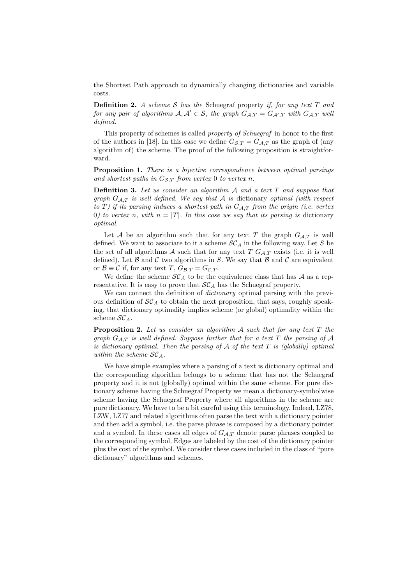the Shortest Path approach to dynamically changing dictionaries and variable costs.

**Definition 2.** A scheme S has the Schuegraf property if, for any text  $T$  and for any pair of algorithms  $A, A' \in S$ , the graph  $G_{A,T} = G_{A',T}$  with  $G_{A,T}$  well defined.

This property of schemes is called property of Schuegraf in honor to the first of the authors in [18]. In this case we define  $G_{S,T} = G_{A,T}$  as the graph of (any algorithm of) the scheme. The proof of the following proposition is straightforward.

Proposition 1. There is a bijective correspondence between optimal parsings and shortest paths in  $G_{\mathcal{S},T}$  from vertex 0 to vertex n.

**Definition 3.** Let us consider an algorithm  $A$  and a text  $T$  and suppose that graph  $G_{A,T}$  is well defined. We say that A is dictionary optimal (with respect to T) if its parsing induces a shortest path in  $G_{\mathcal{A},T}$  from the origin (i.e. vertex 0) to vertex n, with  $n = |T|$ . In this case we say that its parsing is dictionary optimal.

Let A be an algorithm such that for any text T the graph  $G_{AT}$  is well defined. We want to associate to it a scheme  $SC_A$  in the following way. Let S be the set of all algorithms  $A$  such that for any text  $T G_{A,T}$  exists (i.e. it is well defined). Let  $\mathcal B$  and  $\mathcal C$  two algorithms in S. We say that  $\mathcal B$  and  $\mathcal C$  are equivalent or  $\mathcal{B} \equiv \mathcal{C}$  if, for any text T,  $G_{\mathcal{B},T} = G_{\mathcal{C},T}$ .

We define the scheme  $SC_A$  to be the equivalence class that has A as a representative. It is easy to prove that  $SC_A$  has the Schuegraf property.

We can connect the definition of *dictionary* optimal parsing with the previous definition of  $SC_A$  to obtain the next proposition, that says, roughly speaking, that dictionary optimality implies scheme (or global) optimality within the scheme  $\mathcal{SC}_A$ .

**Proposition 2.** Let us consider an algorithm  $A$  such that for any text  $T$  the graph  $G_{AT}$  is well defined. Suppose further that for a text T the parsing of A is dictionary optimal. Then the parsing of  $A$  of the text  $T$  is (globally) optimal within the scheme  $SC_A$ .

We have simple examples where a parsing of a text is dictionary optimal and the corresponding algorithm belongs to a scheme that has not the Schuegraf property and it is not (globally) optimal within the same scheme. For pure dictionary scheme having the Schuegraf Property we mean a dictionary-symbolwise scheme having the Schuegraf Property where all algorithms in the scheme are pure dictionary. We have to be a bit careful using this terminology. Indeed, LZ78, LZW, LZ77 and related algorithms often parse the text with a dictionary pointer and then add a symbol, i.e. the parse phrase is composed by a dictionary pointer and a symbol. In these cases all edges of  $G_{A,T}$  denote parse phrases coupled to the corresponding symbol. Edges are labeled by the cost of the dictionary pointer plus the cost of the symbol. We consider these cases included in the class of "pure dictionary" algorithms and schemes.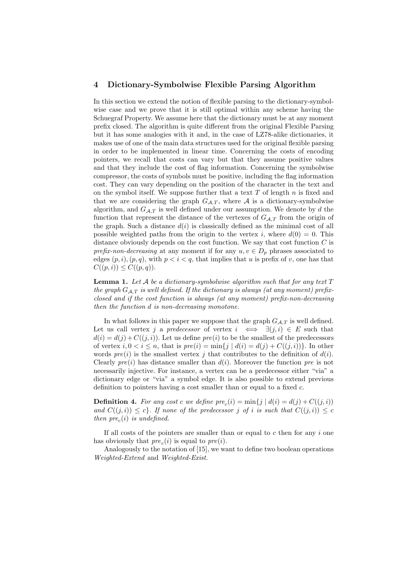#### 4 Dictionary-Symbolwise Flexible Parsing Algorithm

In this section we extend the notion of flexible parsing to the dictionary-symbolwise case and we prove that it is still optimal within any scheme having the Schuegraf Property. We assume here that the dictionary must be at any moment prefix closed. The algorithm is quite different from the original Flexible Parsing but it has some analogies with it and, in the case of LZ78-alike dictionaries, it makes use of one of the main data structures used for the original flexible parsing in order to be implemented in linear time. Concerning the costs of encoding pointers, we recall that costs can vary but that they assume positive values and that they include the cost of flag information. Concerning the symbolwise compressor, the costs of symbols must be positive, including the flag information cost. They can vary depending on the position of the character in the text and on the symbol itself. We suppose further that a text  $T$  of length  $n$  is fixed and that we are considering the graph  $G_{\mathcal{A},T}$ , where  $\mathcal A$  is a dictionary-symbolwise algorithm, and  $G_{AT}$  is well defined under our assumption. We denote by d the function that represent the distance of the vertexes of  $G_{A,T}$  from the origin of the graph. Such a distance  $d(i)$  is classically defined as the minimal cost of all possible weighted paths from the origin to the vertex i, where  $d(0) = 0$ . This distance obviously depends on the cost function. We say that cost function  $C$  is prefix-non-decreasing at any moment if for any  $u, v \in D_p$  phrases associated to edges  $(p, i), (p, q)$ , with  $p < i < q$ , that implies that u is prefix of v, one has that  $C((p, i)) \leq C((p, q)).$ 

**Lemma 1.** Let A be a dictionary-symbolwise algorithm such that for any text  $T$ the graph  $G_{AT}$  is well defined. If the dictionary is always (at any moment) prefixclosed and if the cost function is always (at any moment) prefix-non-decreasing then the function d is non-decreasing monotone.

In what follows in this paper we suppose that the graph  $G_{A,T}$  is well defined. Let us call vertex j a predecessor of vertex  $i \iff \exists (j, i) \in E$  such that  $d(i) = d(j) + C((j, i))$ . Let us define  $pre(i)$  to be the smallest of the predecessors of vertex  $i, 0 < i \le n$ , that is  $pre(i) = \min\{j \mid d(i) = d(j) + C((j, i))\}$ . In other words  $pre(i)$  is the smallest vertex *i* that contributes to the definition of  $d(i)$ . Clearly  $pre(i)$  has distance smaller than  $d(i)$ . Moreover the function pre is not necessarily injective. For instance, a vertex can be a predecessor either "via" a dictionary edge or "via" a symbol edge. It is also possible to extend previous definition to pointers having a cost smaller than or equal to a fixed  $c$ .

**Definition 4.** For any cost c we define  $pre_c(i) = min\{j \mid d(i) = d(j) + C((j, i))\}$ and  $C((j,i)) \leq c$ . If none of the predecessor j of i is such that  $C((j,i)) \leq c$ then  $pre_c(i)$  is undefined.

If all costs of the pointers are smaller than or equal to  $c$  then for any  $i$  one has obviously that  $pre_c(i)$  is equal to  $pre(i)$ .

Analogously to the notation of [15], we want to define two boolean operations Weighted-Extend and Weighted-Exist.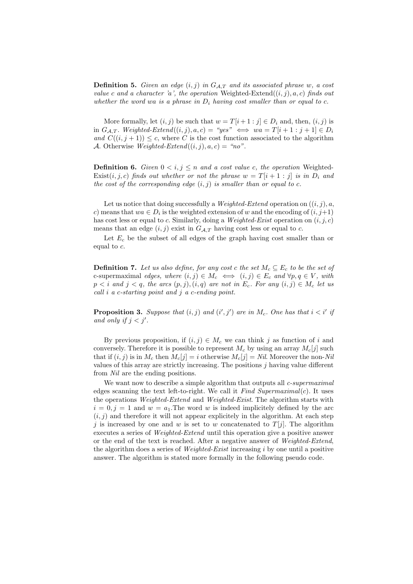**Definition 5.** Given an edge  $(i, j)$  in  $G_{\mathcal{A},T}$  and its associated phrase w, a cost value c and a character 'a', the operation Weighted-Extend $((i, j), a, c)$  finds out whether the word wa is a phrase in  $D_i$  having cost smaller than or equal to c.

More formally, let  $(i, j)$  be such that  $w = T[i+1:j] \in D_i$  and, then,  $(i, j)$  is in  $G_{\mathcal{A},T}$ . Weighted-Extend $((i, j), a, c) = "yes" \iff wa = T[i + 1 : j + 1] \in D_i$ and  $C((i, j + 1)) \leq c$ , where C is the cost function associated to the algorithm A. Otherwise Weighted-Extend $((i, j), a, c) = \alpha^n n^s$ .

**Definition 6.** Given  $0 \lt i, j \leq n$  and a cost value c, the operation Weighted-Exist $(i, j, c)$  finds out whether or not the phrase  $w = T[i + 1 : j]$  is in  $D_i$  and the cost of the corresponding edge  $(i, j)$  is smaller than or equal to c.

Let us notice that doing successfully a *Weighted-Extend* operation on  $((i, j), a,$ c) means that  $wa \in D_i$  is the weighted extension of w and the encoding of  $(i, j+1)$ has cost less or equal to c. Similarly, doing a Weighted-Exist operation on  $(i, j, c)$ means that an edge  $(i, j)$  exist in  $G_{\mathcal{A},T}$  having cost less or equal to c.

Let  $E_c$  be the subset of all edges of the graph having cost smaller than or equal to c.

**Definition 7.** Let us also define, for any cost c the set  $M_c \subseteq E_c$  to be the set of c-supermaximal edges, where  $(i, j) \in M_c \iff (i, j) \in E_c$  and  $\forall p, q \in V$ , with  $p < i$  and  $j < q$ , the arcs  $(p, j), (i, q)$  are not in  $E_c$ . For any  $(i, j) \in M_c$  let us call i a c-starting point and j a c-ending point.

**Proposition 3.** Suppose that  $(i, j)$  and  $(i', j')$  are in  $M_c$ . One has that  $i < i'$  if and only if  $j < j'$ .

By previous proposition, if  $(i, j) \in M_c$  we can think j as function of i and conversely. Therefore it is possible to represent  $M_c$  by using an array  $M_c[i]$  such that if  $(i, j)$  is in  $M_c$  then  $M_c[j] = i$  otherwise  $M_c[j] = Nil$ . Moreover the non-Nil values of this array are strictly increasing. The positions  $j$  having value different from Nil are the ending positions.

We want now to describe a simple algorithm that outputs all *c-supermaximal* edges scanning the text left-to-right. We call it Find Supermaximal(c). It uses the operations *Weighted-Extend* and *Weighted-Exist*. The algorithm starts with  $i = 0, j = 1$  and  $w = a_1$ . The word w is indeed implicitely defined by the arc  $(i, j)$  and therefore it will not appear explicitely in the algorithm. At each step j is increased by one and w is set to w concatenated to  $T[j]$ . The algorithm executes a series of Weighted-Extend until this operation give a positive answer or the end of the text is reached. After a negative answer of Weighted-Extend, the algorithm does a series of Weighted-Exist increasing i by one until a positive answer. The algorithm is stated more formally in the following pseudo code.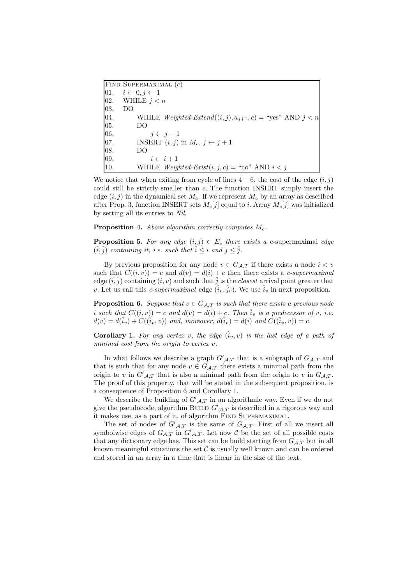Find Supermaximal (c) 01.  $i \leftarrow 0, j \leftarrow 1$ 02. WHILE  $i < n$ 03. DO 04. WHILE  $Weighted\text{-}Extend((i, j), a_{j+1}, c) = \text{``yes'' AND } j < n$ <br>05. DO  $D<sub>O</sub>$ 06.  $i \leftarrow j + 1$ 07. INSERT  $(i, j)$  in  $M_c$ ,  $j \leftarrow j + 1$ 08. DO 09.  $i \leftarrow i + 1$ 10. WHILE *Weighted-Exist* $(i, j, c) = \text{``no'' AND } i < j$ 

We notice that when exiting from cycle of lines  $4 - 6$ , the cost of the edge  $(i, j)$ could still be strictly smaller than c. The function INSERT simply insert the edge  $(i, j)$  in the dynamical set  $M_c$ . If we represent  $M_c$  by an array as described after Prop. 3, function INSERT sets  $M_c[j]$  equal to i. Array  $M_c[j]$  was initialized by setting all its entries to Nil.

**Proposition 4.** Above algorithm correctly computes  $M_c$ .

**Proposition 5.** For any edge  $(i, j) \in E_c$  there exists a c-supermaximal edge  $(\hat{i}, \hat{j})$  containing it, i.e. such that  $\hat{i} \leq i$  and  $j \leq \hat{j}$ .

By previous proposition for any node  $v \in G_{A,T}$  if there exists a node  $i < v$ such that  $C((i, v)) = c$  and  $d(v) = d(i) + c$  then there exists a *c*-supermaximal edge  $(\hat{i}, \hat{j})$  containing  $(i, v)$  and such that  $\hat{j}$  is the *closest* arrival point greater that v. Let us call this *c*-supermaximal edge  $(i_v, j_v)$ . We use  $i_v$  in next proposition.

**Proposition 6.** Suppose that  $v \in G_{A,T}$  is such that there exists a previous node i such that  $C((i, v)) = c$  and  $d(v) = d(i) + c$ . Then  $i_v$  is a predecessor of v, i.e.  $d(v) = d(\hat{i}_v) + C((\hat{i}_v, v))$  and, moreover,  $d(\hat{i}_v) = d(i)$  and  $C((\hat{i}_v, v)) = c$ .

**Corollary 1.** For any vertex v, the edge  $(\hat{i}_v, v)$  is the last edge of a path of minimal cost from the origin to vertex v.

In what follows we describe a graph  $G'_{\mathcal{A},T}$  that is a subgraph of  $G_{\mathcal{A},T}$  and that is such that for any node  $v \in G_{A,T}$  there exists a minimal path from the origin to v in  $G'_{A,T}$  that is also a minimal path from the origin to v in  $G_{A,T}$ . The proof of this property, that will be stated in the subsequent proposition, is a consequence of Proposition 6 and Corollary 1.

We describe the building of  $G'_{A,T}$  in an algorithmic way. Even if we do not give the pseudocode, algorithm BUILD  $G'_{\mathcal{A},T}$  is described in a rigorous way and it makes use, as a part of it, of algorithm FIND SUPERMAXIMAL.

The set of nodes of  $G'_{\mathcal{A},T}$  is the same of  $G_{\mathcal{A},T}$ . First of all we insert all symbolwise edges of  $G_{\mathcal{A},T}$  in  $G'_{\mathcal{A},T}$ . Let now C be the set of all possible costs that any dictionary edge has. This set can be build starting from  $G_{\mathcal{A},T}$  but in all known meaningful situations the set  $\mathcal C$  is usually well known and can be ordered and stored in an array in a time that is linear in the size of the text.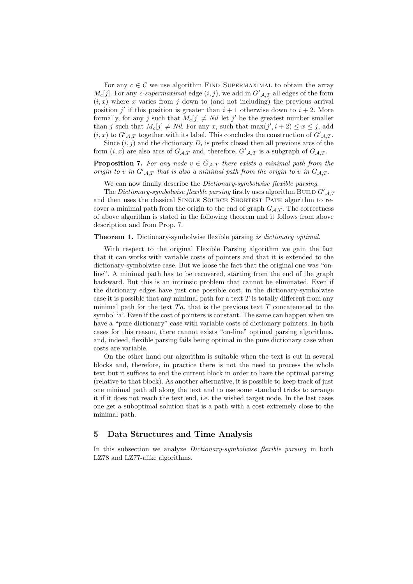For any  $c \in \mathcal{C}$  we use algorithm FIND SUPERMAXIMAL to obtain the array  $M_c[j]$ . For any c-supermaximal edge  $(i, j)$ , we add in  $G'_{A,T}$  all edges of the form  $(i, x)$  where x varies from j down to (and not including) the previous arrival position j' if this position is greater than  $i + 1$  otherwise down to  $i + 2$ . More formally, for any j such that  $M_c[j] \neq Nil$  let j' be the greatest number smaller than j such that  $M_c[j] \neq Nil$ . For any x, such that  $\max(j', i + 2) \leq x \leq j$ , add  $(i, x)$  to  $G'_{\mathcal{A},T}$  together with its label. This concludes the construction of  $G'_{\mathcal{A},T}$ .

Since  $(i, j)$  and the dictionary  $D_i$  is prefix closed then all previous arcs of the form  $(i, x)$  are also arcs of  $G_{\mathcal{A},T}$  and, therefore,  $G'_{\mathcal{A},T}$  is a subgraph of  $G_{\mathcal{A},T}$ .

**Proposition 7.** For any node  $v \in G_{A,T}$  there exists a minimal path from the origin to v in  $G'_{A,T}$  that is also a minimal path from the origin to v in  $G_{A,T}$ .

We can now finally describe the *Dictionary-symbolwise flexible parsing*.

The Dictionary-symbolwise flexible parsing firstly uses algorithm BUILD  $G'_{\mathcal{A},\mathcal{T}}$ and then uses the classical SINGLE SOURCE SHORTEST PATH algorithm to recover a minimal path from the origin to the end of graph  $G_{\mathcal{A},T}$ . The correctness of above algorithm is stated in the following theorem and it follows from above description and from Prop. 7.

**Theorem 1.** Dictionary-symbolwise flexible parsing is dictionary optimal.

With respect to the original Flexible Parsing algorithm we gain the fact that it can works with variable costs of pointers and that it is extended to the dictionary-symbolwise case. But we loose the fact that the original one was "online". A minimal path has to be recovered, starting from the end of the graph backward. But this is an intrinsic problem that cannot be eliminated. Even if the dictionary edges have just one possible cost, in the dictionary-symbolwise case it is possible that any minimal path for a text  $T$  is totally different from any minimal path for the text  $Ta$ , that is the previous text  $T$  concatenated to the symbol 'a'. Even if the cost of pointers is constant. The same can happen when we have a "pure dictionary" case with variable costs of dictionary pointers. In both cases for this reason, there cannot exists "on-line" optimal parsing algorithms, and, indeed, flexible parsing fails being optimal in the pure dictionary case when costs are variable.

On the other hand our algorithm is suitable when the text is cut in several blocks and, therefore, in practice there is not the need to process the whole text but it suffices to end the current block in order to have the optimal parsing (relative to that block). As another alternative, it is possible to keep track of just one minimal path all along the text and to use some standard tricks to arrange it if it does not reach the text end, i.e. the wished target node. In the last cases one get a suboptimal solution that is a path with a cost extremely close to the minimal path.

## 5 Data Structures and Time Analysis

In this subsection we analyze *Dictionary-symbolwise flexible parsing* in both LZ78 and LZ77-alike algorithms.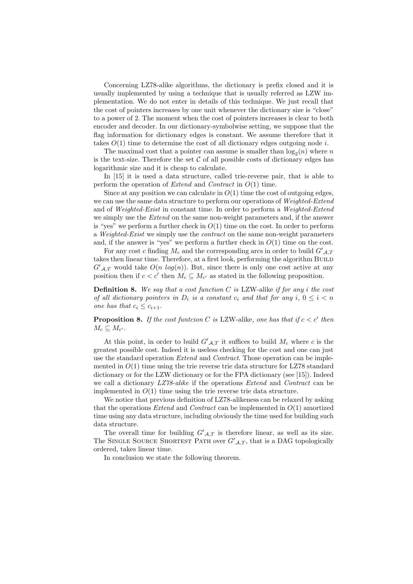Concerning LZ78-alike algorithms, the dictionary is prefix closed and it is usually implemented by using a technique that is usually referred as LZW implementation. We do not enter in details of this technique. We just recall that the cost of pointers increases by one unit whenever the dictionary size is "close" to a power of 2. The moment when the cost of pointers increases is clear to both encoder and decoder. In our dictionary-symbolwise setting, we suppose that the flag information for dictionary edges is constant. We assume therefore that it takes  $O(1)$  time to determine the cost of all dictionary edges outgoing node i.

The maximal cost that a pointer can assume is smaller than  $log_2(n)$  where n is the text-size. Therefore the set  $C$  of all possible costs of dictionary edges has logarithmic size and it is cheap to calculate.

In [15] it is used a data structure, called trie-reverse pair, that is able to perform the operation of *Extend* and *Contract* in  $O(1)$  time.

Since at any position we can calculate in  $O(1)$  time the cost of outgoing edges, we can use the same data structure to perform our operations of Weighted-Extend and of Weighted-Exist in constant time. In order to perform a Weighted-Extend we simply use the *Extend* on the same non-weight parameters and, if the answer is "yes" we perform a further check in  $O(1)$  time on the cost. In order to perform a Weighted-Exist we simply use the contract on the same non-weight parameters and, if the answer is "yes" we perform a further check in  $O(1)$  time on the cost.

For any cost c finding  $M_c$  and the corresponding arcs in order to build  $G'_{\mathcal{A},\mathcal{I}}$ takes then linear time. Therefore, at a first look, performing the algorithm BUILD  $G'_{\mathcal{A},T}$  would take  $O(n \log(n))$ . But, since there is only one cost active at any position then if  $c < c'$  then  $M_c \subseteq M_{c'}$  as stated in the following proposition.

**Definition 8.** We say that a cost function C is LZW-alike if for any i the cost of all dictionary pointers in  $D_i$  is a constant  $c_i$  and that for any  $i, 0 \leq i < n$ one has that  $c_i \leq c_{i+1}$ .

**Proposition 8.** If the cost funtcion C is LZW-alike, one has that if  $c < c'$  then  $M_c \subseteq M_{c'}$ .

At this point, in order to build  $G'_{\mathcal{A},T}$  it suffices to build  $M_c$  where c is the greatest possible cost. Indeed it is useless checking for the cost and one can just use the standard operation *Extend* and *Contract*. Those operation can be implemented in  $O(1)$  time using the trie reverse trie data structure for LZ78 standard dictionary or for the LZW dictionary or for the FPA dictionary (see [15]). Indeed we call a dictionary LZ78-alike if the operations Extend and Contract can be implemented in  $O(1)$  time using the trie reverse trie data structure.

We notice that previous definition of LZ78-alikeness can be relaxed by asking that the operations *Extend* and *Contract* can be implemented in  $O(1)$  amortized time using any data structure, including obviously the time used for building such data structure.

The overall time for building  $G'_{A,T}$  is therefore linear, as well as its size. The SINGLE SOURCE SHORTEST PATH over  $G'_{\mathcal{A},T}$ , that is a DAG topologically ordered, takes linear time.

In conclusion we state the following theorem.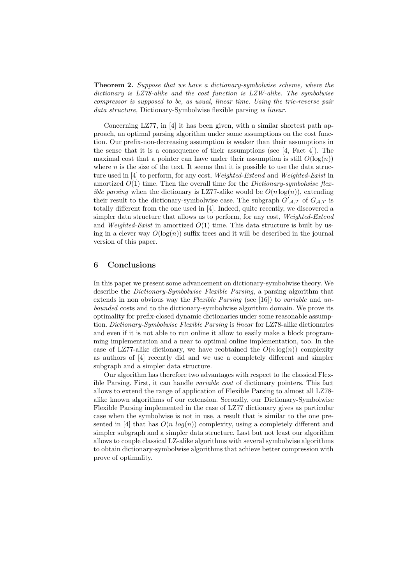Theorem 2. Suppose that we have a dictionary-symbolwise scheme, where the dictionary is LZ78-alike and the cost function is LZW-alike. The symbolwise compressor is supposed to be, as usual, linear time. Using the trie-reverse pair data structure, Dictionary-Symbolwise flexible parsing is linear.

Concerning LZ77, in [4] it has been given, with a similar shortest path approach, an optimal parsing algorithm under some assumptions on the cost function. Our prefix-non-decreasing assumption is weaker than their assumptions in the sense that it is a consequence of their assumptions (see [4, Fact 4]). The maximal cost that a pointer can have under their assumption is still  $O(\log(n))$ where  $n$  is the size of the text. It seems that it is possible to use the data structure used in [4] to perform, for any cost, Weighted-Extend and Weighted-Exist in amortized  $O(1)$  time. Then the overall time for the *Dictionary-symbolwise flexible parsing* when the dictionary is LZ77-alike would be  $O(n \log(n))$ , extending their result to the dictionary-symbolwise case. The subgraph  $G'_{A,T}$  of  $G_{A,T}$  is totally different from the one used in [4]. Indeed, quite recently, we discovered a simpler data structure that allows us to perform, for any cost, Weighted-Extend and *Weighted-Exist* in amortized  $O(1)$  time. This data structure is built by using in a clever way  $O(\log(n))$  suffix trees and it will be described in the journal version of this paper.

#### 6 Conclusions

In this paper we present some advancement on dictionary-symbolwise theory. We describe the Dictionary-Symbolwise Flexible Parsing, a parsing algorithm that extends in non obvious way the Flexible Parsing (see [16]) to variable and unbounded costs and to the dictionary-symbolwise algorithm domain. We prove its optimality for prefix-closed dynamic dictionaries under some reasonable assumption. Dictionary-Symbolwise Flexible Parsing is linear for LZ78-alike dictionaries and even if it is not able to run online it allow to easily make a block programming implementation and a near to optimal online implementation, too. In the case of LZ77-alike dictionary, we have reobtained the  $O(n \log(n))$  complexity as authors of [4] recently did and we use a completely different and simpler subgraph and a simpler data structure.

Our algorithm has therefore two advantages with respect to the classical Flexible Parsing. First, it can handle variable cost of dictionary pointers. This fact allows to extend the range of application of Flexible Parsing to almost all LZ78 alike known algorithms of our extension. Secondly, our Dictionary-Symbolwise Flexible Parsing implemented in the case of LZ77 dictionary gives as particular case when the symbolwise is not in use, a result that is similar to the one presented in [4] that has  $O(n \log(n))$  complexity, using a completely different and simpler subgraph and a simpler data structure. Last but not least our algorithm allows to couple classical LZ-alike algorithms with several symbolwise algorithms to obtain dictionary-symbolwise algorithms that achieve better compression with prove of optimality.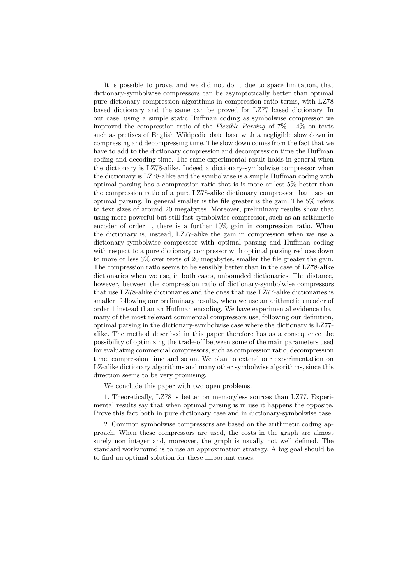It is possible to prove, and we did not do it due to space limitation, that dictionary-symbolwise compressors can be asymptotically better than optimal pure dictionary compression algorithms in compression ratio terms, with LZ78 based dictionary and the same can be proved for LZ77 based dictionary. In our case, using a simple static Huffman coding as symbolwise compressor we improved the compression ratio of the Flexible Parsing of  $7\% - 4\%$  on texts such as prefixes of English Wikipedia data base with a negligible slow down in compressing and decompressing time. The slow down comes from the fact that we have to add to the dictionary compression and decompression time the Huffman coding and decoding time. The same experimental result holds in general when the dictionary is LZ78-alike. Indeed a dictionary-symbolwise compressor when the dictionary is LZ78-alike and the symbolwise is a simple Huffman coding with optimal parsing has a compression ratio that is is more or less 5% better than the compression ratio of a pure LZ78-alike dictionary compressor that uses an optimal parsing. In general smaller is the file greater is the gain. The 5% refers to text sizes of around 20 megabytes. Moreover, preliminary results show that using more powerful but still fast symbolwise compressor, such as an arithmetic encoder of order 1, there is a further  $10\%$  gain in compression ratio. When the dictionary is, instead, LZ77-alike the gain in compression when we use a dictionary-symbolwise compressor with optimal parsing and Huffman coding with respect to a pure dictionary compressor with optimal parsing reduces down to more or less 3% over texts of 20 megabytes, smaller the file greater the gain. The compression ratio seems to be sensibly better than in the case of LZ78-alike dictionaries when we use, in both cases, unbounded dictionaries. The distance, however, between the compression ratio of dictionary-symbolwise compressors that use LZ78-alike dictionaries and the ones that use LZ77-alike dictionaries is smaller, following our preliminary results, when we use an arithmetic encoder of order 1 instead than an Huffman encoding. We have experimental evidence that many of the most relevant commercial compressors use, following our definition, optimal parsing in the dictionary-symbolwise case where the dictionary is LZ77 alike. The method described in this paper therefore has as a consequence the possibility of optimizing the trade-off between some of the main parameters used for evaluating commercial compressors, such as compression ratio, decompression time, compression time and so on. We plan to extend our experimentation on LZ-alike dictionary algorithms and many other symbolwise algorithms, since this direction seems to be very promising.

We conclude this paper with two open problems.

1. Theoretically, LZ78 is better on memoryless sources than LZ77. Experimental results say that when optimal parsing is in use it happens the opposite. Prove this fact both in pure dictionary case and in dictionary-symbolwise case.

2. Common symbolwise compressors are based on the arithmetic coding approach. When these compressors are used, the costs in the graph are almost surely non integer and, moreover, the graph is usually not well defined. The standard workaround is to use an approximation strategy. A big goal should be to find an optimal solution for these important cases.